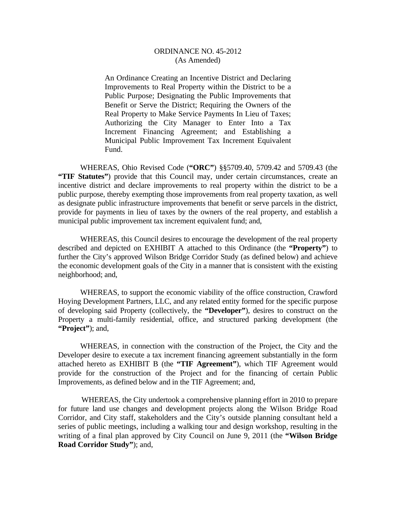An Ordinance Creating an Incentive District and Declaring Improvements to Real Property within the District to be a Public Purpose; Designating the Public Improvements that Benefit or Serve the District; Requiring the Owners of the Real Property to Make Service Payments In Lieu of Taxes; Authorizing the City Manager to Enter Into a Tax Increment Financing Agreement; and Establishing a Municipal Public Improvement Tax Increment Equivalent Fund.

 WHEREAS, Ohio Revised Code (**"ORC"**) §§5709.40, 5709.42 and 5709.43 (the **"TIF Statutes"**) provide that this Council may, under certain circumstances, create an incentive district and declare improvements to real property within the district to be a public purpose, thereby exempting those improvements from real property taxation, as well as designate public infrastructure improvements that benefit or serve parcels in the district, provide for payments in lieu of taxes by the owners of the real property, and establish a municipal public improvement tax increment equivalent fund; and,

 WHEREAS, this Council desires to encourage the development of the real property described and depicted on EXHIBIT A attached to this Ordinance (the **"Property"**) to further the City's approved Wilson Bridge Corridor Study (as defined below) and achieve the economic development goals of the City in a manner that is consistent with the existing neighborhood; and,

 WHEREAS, to support the economic viability of the office construction, Crawford Hoying Development Partners, LLC, and any related entity formed for the specific purpose of developing said Property (collectively, the **"Developer"**), desires to construct on the Property a multi-family residential, office, and structured parking development (the **"Project"**); and,

 WHEREAS, in connection with the construction of the Project, the City and the Developer desire to execute a tax increment financing agreement substantially in the form attached hereto as EXHIBIT B (the **"TIF Agreement"**), which TIF Agreement would provide for the construction of the Project and for the financing of certain Public Improvements, as defined below and in the TIF Agreement; and,

 WHEREAS, the City undertook a comprehensive planning effort in 2010 to prepare for future land use changes and development projects along the Wilson Bridge Road Corridor, and City staff, stakeholders and the City's outside planning consultant held a series of public meetings, including a walking tour and design workshop, resulting in the writing of a final plan approved by City Council on June 9, 2011 (the **"Wilson Bridge Road Corridor Study"**); and,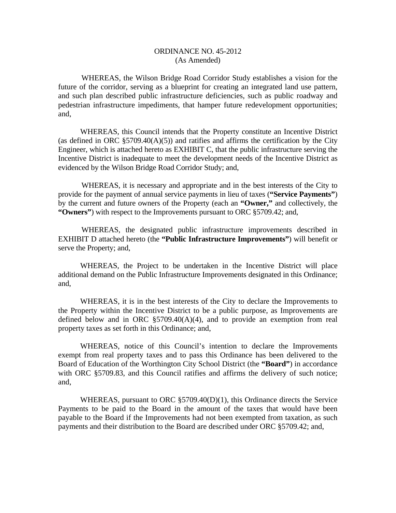WHEREAS, the Wilson Bridge Road Corridor Study establishes a vision for the future of the corridor, serving as a blueprint for creating an integrated land use pattern, and such plan described public infrastructure deficiencies, such as public roadway and pedestrian infrastructure impediments, that hamper future redevelopment opportunities; and,

 WHEREAS, this Council intends that the Property constitute an Incentive District (as defined in ORC  $\S 5709.40(A)(5)$ ) and ratifies and affirms the certification by the City Engineer, which is attached hereto as EXHIBIT C, that the public infrastructure serving the Incentive District is inadequate to meet the development needs of the Incentive District as evidenced by the Wilson Bridge Road Corridor Study; and,

 WHEREAS, it is necessary and appropriate and in the best interests of the City to provide for the payment of annual service payments in lieu of taxes (**"Service Payments"**) by the current and future owners of the Property (each an **"Owner,"** and collectively, the **"Owners"**) with respect to the Improvements pursuant to ORC §5709.42; and,

 WHEREAS, the designated public infrastructure improvements described in EXHIBIT D attached hereto (the **"Public Infrastructure Improvements"**) will benefit or serve the Property; and,

 WHEREAS, the Project to be undertaken in the Incentive District will place additional demand on the Public Infrastructure Improvements designated in this Ordinance; and,

 WHEREAS, it is in the best interests of the City to declare the Improvements to the Property within the Incentive District to be a public purpose, as Improvements are defined below and in ORC  $\S5709.40(A)(4)$ , and to provide an exemption from real property taxes as set forth in this Ordinance; and,

 WHEREAS, notice of this Council's intention to declare the Improvements exempt from real property taxes and to pass this Ordinance has been delivered to the Board of Education of the Worthington City School District (the **"Board"**) in accordance with ORC §5709.83, and this Council ratifies and affirms the delivery of such notice; and,

 WHEREAS, pursuant to ORC §5709.40(D)(1), this Ordinance directs the Service Payments to be paid to the Board in the amount of the taxes that would have been payable to the Board if the Improvements had not been exempted from taxation, as such payments and their distribution to the Board are described under ORC §5709.42; and,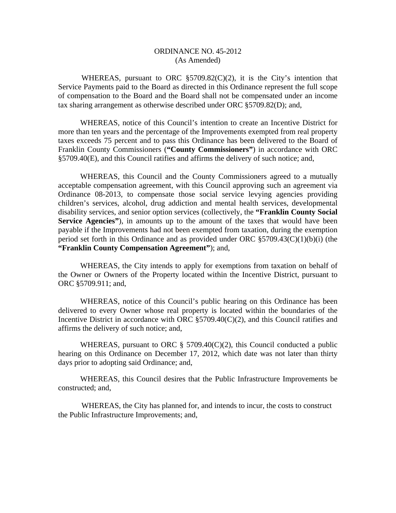WHEREAS, pursuant to ORC §5709.82(C)(2), it is the City's intention that Service Payments paid to the Board as directed in this Ordinance represent the full scope of compensation to the Board and the Board shall not be compensated under an income tax sharing arrangement as otherwise described under ORC §5709.82(D); and,

 WHEREAS, notice of this Council's intention to create an Incentive District for more than ten years and the percentage of the Improvements exempted from real property taxes exceeds 75 percent and to pass this Ordinance has been delivered to the Board of Franklin County Commissioners (**"County Commissioners"**) in accordance with ORC §5709.40(E), and this Council ratifies and affirms the delivery of such notice; and,

 WHEREAS, this Council and the County Commissioners agreed to a mutually acceptable compensation agreement, with this Council approving such an agreement via Ordinance 08-2013, to compensate those social service levying agencies providing children's services, alcohol, drug addiction and mental health services, developmental disability services, and senior option services (collectively, the **"Franklin County Social Service Agencies**"), in amounts up to the amount of the taxes that would have been payable if the Improvements had not been exempted from taxation, during the exemption period set forth in this Ordinance and as provided under ORC §5709.43(C)(1)(b)(i) (the **"Franklin County Compensation Agreement"**); and,

 WHEREAS, the City intends to apply for exemptions from taxation on behalf of the Owner or Owners of the Property located within the Incentive District, pursuant to ORC §5709.911; and,

 WHEREAS, notice of this Council's public hearing on this Ordinance has been delivered to every Owner whose real property is located within the boundaries of the Incentive District in accordance with ORC §5709.40(C)(2), and this Council ratifies and affirms the delivery of such notice; and,

WHEREAS, pursuant to ORC  $\S$  5709.40(C)(2), this Council conducted a public hearing on this Ordinance on December 17, 2012, which date was not later than thirty days prior to adopting said Ordinance; and,

 WHEREAS, this Council desires that the Public Infrastructure Improvements be constructed; and,

 WHEREAS, the City has planned for, and intends to incur, the costs to construct the Public Infrastructure Improvements; and,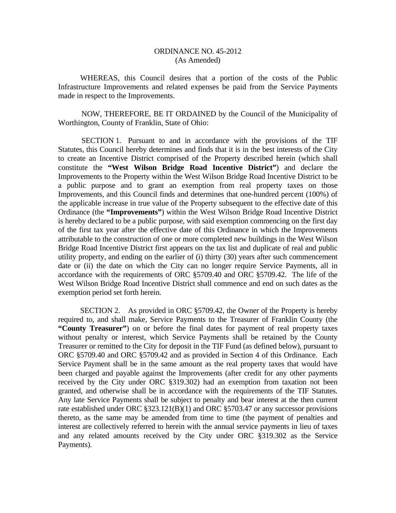WHEREAS, this Council desires that a portion of the costs of the Public Infrastructure Improvements and related expenses be paid from the Service Payments made in respect to the Improvements.

 NOW, THEREFORE, BE IT ORDAINED by the Council of the Municipality of Worthington, County of Franklin, State of Ohio:

 SECTION 1. Pursuant to and in accordance with the provisions of the TIF Statutes, this Council hereby determines and finds that it is in the best interests of the City to create an Incentive District comprised of the Property described herein (which shall constitute the **"West Wilson Bridge Road Incentive District"**) and declare the Improvements to the Property within the West Wilson Bridge Road Incentive District to be a public purpose and to grant an exemption from real property taxes on those Improvements, and this Council finds and determines that one-hundred percent (100%) of the applicable increase in true value of the Property subsequent to the effective date of this Ordinance (the **"Improvements"**) within the West Wilson Bridge Road Incentive District is hereby declared to be a public purpose, with said exemption commencing on the first day of the first tax year after the effective date of this Ordinance in which the Improvements attributable to the construction of one or more completed new buildings in the West Wilson Bridge Road Incentive District first appears on the tax list and duplicate of real and public utility property, and ending on the earlier of (i) thirty (30) years after such commencement date or (ii) the date on which the City can no longer require Service Payments, all in accordance with the requirements of ORC §5709.40 and ORC §5709.42. The life of the West Wilson Bridge Road Incentive District shall commence and end on such dates as the exemption period set forth herein.

 SECTION 2. As provided in ORC §5709.42, the Owner of the Property is hereby required to, and shall make, Service Payments to the Treasurer of Franklin County (the **"County Treasurer"**) on or before the final dates for payment of real property taxes without penalty or interest, which Service Payments shall be retained by the County Treasurer or remitted to the City for deposit in the TIF Fund (as defined below), pursuant to ORC §5709.40 and ORC §5709.42 and as provided in Section 4 of this Ordinance. Each Service Payment shall be in the same amount as the real property taxes that would have been charged and payable against the Improvements (after credit for any other payments received by the City under ORC §319.302) had an exemption from taxation not been granted, and otherwise shall be in accordance with the requirements of the TIF Statutes. Any late Service Payments shall be subject to penalty and bear interest at the then current rate established under ORC §323.121(B)(1) and ORC §5703.47 or any successor provisions thereto, as the same may be amended from time to time (the payment of penalties and interest are collectively referred to herein with the annual service payments in lieu of taxes and any related amounts received by the City under ORC §319.302 as the Service Payments).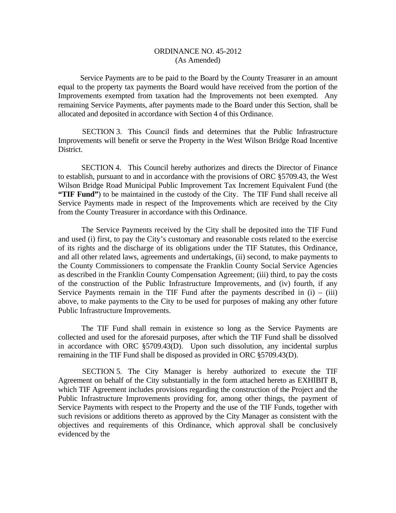Service Payments are to be paid to the Board by the County Treasurer in an amount equal to the property tax payments the Board would have received from the portion of the Improvements exempted from taxation had the Improvements not been exempted. Any remaining Service Payments, after payments made to the Board under this Section, shall be allocated and deposited in accordance with Section 4 of this Ordinance.

 SECTION 3. This Council finds and determines that the Public Infrastructure Improvements will benefit or serve the Property in the West Wilson Bridge Road Incentive District.

 SECTION 4. This Council hereby authorizes and directs the Director of Finance to establish, pursuant to and in accordance with the provisions of ORC §5709.43, the West Wilson Bridge Road Municipal Public Improvement Tax Increment Equivalent Fund (the **"TIF Fund"**) to be maintained in the custody of the City. The TIF Fund shall receive all Service Payments made in respect of the Improvements which are received by the City from the County Treasurer in accordance with this Ordinance.

 The Service Payments received by the City shall be deposited into the TIF Fund and used (i) first, to pay the City's customary and reasonable costs related to the exercise of its rights and the discharge of its obligations under the TIF Statutes, this Ordinance, and all other related laws, agreements and undertakings, (ii) second, to make payments to the County Commissioners to compensate the Franklin County Social Service Agencies as described in the Franklin County Compensation Agreement; (iii) third, to pay the costs of the construction of the Public Infrastructure Improvements, and (iv) fourth, if any Service Payments remain in the TIF Fund after the payments described in  $(i) - (iii)$ above, to make payments to the City to be used for purposes of making any other future Public Infrastructure Improvements.

 The TIF Fund shall remain in existence so long as the Service Payments are collected and used for the aforesaid purposes, after which the TIF Fund shall be dissolved in accordance with ORC §5709.43(D). Upon such dissolution, any incidental surplus remaining in the TIF Fund shall be disposed as provided in ORC §5709.43(D).

 SECTION 5. The City Manager is hereby authorized to execute the TIF Agreement on behalf of the City substantially in the form attached hereto as EXHIBIT B, which TIF Agreement includes provisions regarding the construction of the Project and the Public Infrastructure Improvements providing for, among other things, the payment of Service Payments with respect to the Property and the use of the TIF Funds, together with such revisions or additions thereto as approved by the City Manager as consistent with the objectives and requirements of this Ordinance, which approval shall be conclusively evidenced by the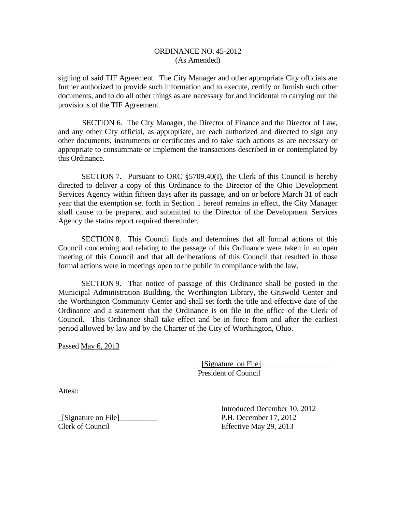signing of said TIF Agreement. The City Manager and other appropriate City officials are further authorized to provide such information and to execute, certify or furnish such other documents, and to do all other things as are necessary for and incidental to carrying out the provisions of the TIF Agreement.

 SECTION 6. The City Manager, the Director of Finance and the Director of Law, and any other City official, as appropriate, are each authorized and directed to sign any other documents, instruments or certificates and to take such actions as are necessary or appropriate to consummate or implement the transactions described in or contemplated by this Ordinance.

SECTION 7. Pursuant to ORC §5709.40(I), the Clerk of this Council is hereby directed to deliver a copy of this Ordinance to the Director of the Ohio Development Services Agency within fifteen days after its passage, and on or before March 31 of each year that the exemption set forth in Section 1 hereof remains in effect, the City Manager shall cause to be prepared and submitted to the Director of the Development Services Agency the status report required thereunder.

 SECTION 8. This Council finds and determines that all formal actions of this Council concerning and relating to the passage of this Ordinance were taken in an open meeting of this Council and that all deliberations of this Council that resulted in those formal actions were in meetings open to the public in compliance with the law.

SECTION 9. That notice of passage of this Ordinance shall be posted in the Municipal Administration Building, the Worthington Library, the Griswold Center and the Worthington Community Center and shall set forth the title and effective date of the Ordinance and a statement that the Ordinance is on file in the office of the Clerk of Council. This Ordinance shall take effect and be in force from and after the earliest period allowed by law and by the Charter of the City of Worthington, Ohio.

Passed May 6, 2013

 \_[Signature on File]\_\_\_\_\_\_\_\_\_\_\_\_\_\_\_\_\_\_ President of Council

Attest:

\_[Signature on File]\_\_\_\_\_\_\_\_\_\_ P.H. December 17, 2012

 Introduced December 10, 2012 Effective May 29, 2013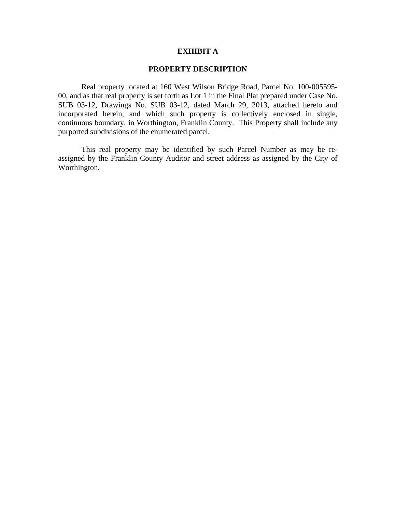#### **EXHIBIT A**

#### **PROPERTY DESCRIPTION**

 Real property located at 160 West Wilson Bridge Road, Parcel No. 100-005595- 00, and as that real property is set forth as Lot 1 in the Final Plat prepared under Case No. SUB 03-12, Drawings No. SUB 03-12, dated March 29, 2013, attached hereto and incorporated herein, and which such property is collectively enclosed in single, continuous boundary, in Worthington, Franklin County. This Property shall include any purported subdivisions of the enumerated parcel.

This real property may be identified by such Parcel Number as may be reassigned by the Franklin County Auditor and street address as assigned by the City of Worthington.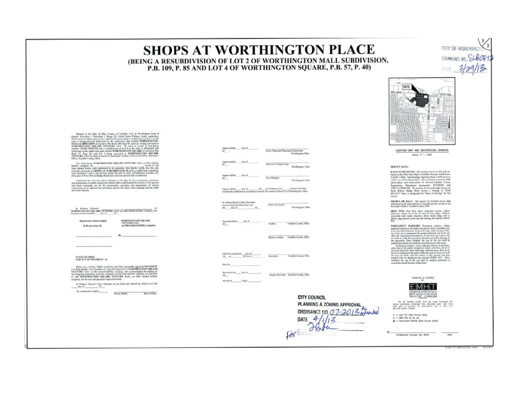# **SHOPS AT WORTHINGTON PLACE**

(BEING A RESUBDIVISION OF LOT 2 OF WORTHINGTON MALL SUBDIVISION. P.B. 109. P. 85 AND LOT 4 OF WORTHINGTON SQUARE, P.B. 57, P. 40)

> SITE 电监理

CITY OF WORTH? DRAWING NO.

DATE  $3/29$ 

LOCATION MAP AND BACKGROUND DRAWING SCALE: 1" = 1000"

#### SERVEY DATA:

NANTS OF BEARINGS. The bootings above on this plot we hadd on the China State Figs. Using the constant  $\mu_0$  are the State (1983) and bootings of planes in the State state of the state of the state of the state of the st

SOURCE OF BATA: The searces of recorded survey data<br>estimated in breplan and test of this plat are the numerical of the<br>Raumder's Office, franklin County, Obie,

IRON PINS from Pins where industed heroes, unless states otherwise redsel, are to be set and are too paper. We<br>recently free independent states of the state of the state of the state of<br>paper plane of the state of the stat

DE CHARLES MARKETINE (Framework interlays, where we have a spectral of the system of the system of the system of the system of the system of the system of the system of the system of the system of the system of the system



We do hereby retify that as how surveyed the premium, prepared the estatement plut, and that and the predict difference are in flast and

Professional Sundger No. 6250

SUNDED & PLATED



Senator in the State of Claus, Courty of Tauxida, Cay, of Week<br>mass haige is the State of Claus Claus (Senator In the State of the State of<br>the State of the State of the State of the State of the State of the State<br>of the

The undersigned, WORTHINGTON SQUARE VENTURE, LLC, as Ohio Strick in this contribution of the position of the position of the position of the position of the position of the position of the position of the position of the

 $\label{thm:main} There exists an operator of, where in the case of the plot, for the overtransition equation and minimum and minimum of pathly and given by the two-  
tion of the group, and the two-  
formal value of the group, the  $in$  or   
the group of the group, the problem is an arbitrary constant. If the case is an isomorphism and the case of the cycle of the$ comercione to ati<br>Islavision voluntu

In Winness Whereof, WANTURE, LLC, as One linear lighting company, has noted that the SQUARE VENTURE, LLC, as One linear lighting company, has

 $W$ 

Sizont and Acknowledged in the presence of:

WORTHINGTON SQUARE<br>VENTURE, LLC.<br>an Ohio limited liability energiesy

STATE OF OHIO<br>COUNTY OF FRANKLIN mi

 $\label{thm:main} \begin{array}{c} \mbox{fiffter\ } m, \hbox{ $a$-Nowp\ } \mbox{Paffin is and for mid fluid; givenably smooth AATTEAC A CAL, AIAA, VocF of (real) and L and Uocdfingous of WOCFTBAC VCSCAS (QCA) and Vcoffed by a  
group, sAtra, a. O4a, and Gocdfingous, a  
has a density and a factor of the two groups of the two groups of the two groups of OAC. VCSCTUF, I, I, C, , \hbox{ $a$- Ode b in timeal fielding of the two groups.} \end{array}$ myany, for the uses and purp

In Witness Thereof, I have been too set my band and affined my official and this day of  $-39.1$ 

vol.thir dep of Director of Engineering Worthington, Ohio City Monager, Worthington Ohio In witness thereof, I have herearmany band and affined my and<br>c day of Clet of Council Warthington, Ohio  $20 \begin{array}{l} \mbox{In addition of}\quad \quad \ \ \, \mbox{and}\quad \quad \ \ \, \mbox{and}\quad \quad \ \ \, \mbox{and}\quad \quad \ \ \, \mbox{and}\quad \quad \ \, \mbox{and}\quad \quad \ \, \mbox{and}\quad \quad \ \, \mbox{and}\quad \quad \ \, \mbox{and}\quad \quad \ \, \mbox{and}\quad \quad \ \, \mbox{and}\quad \quad \ \, \mbox{and}\quad \quad \ \, \mbox{and}\quad \quad \ \, \mbox{and}\quad \quad \ \, \mbox{and}\quad \quad \ \, \mbox{and}\quad \$ Franklin County, Ohio

Auditor.

Deputy Andrer. Franklin County, Ohio

Clerk, Musicipal Plassing Communities

Worthington, Ohio

 $\begin{minipage}{0.9\linewidth} \begin{minipage}{0.9\linewidth} \textbf{Answer:} & \textbf{44:} & \textbf{46:} & \textbf{47:} \\ \textbf{29:} & \textbf{29:} & \textbf{49:} & \textbf{40:} \\ \textbf{20:} & \textbf{40:} & \textbf{41:} & \textbf{42:} \\ \textbf{41:} & \textbf{42:} & \textbf{43:} & \textbf{45:} \\ \textbf{45:} & \textbf{46:} & \textbf{47:} & \textbf{48:} \\ \textbf{47:} & \textbf{48$ 

File No.

Deputy Recorder Franklin County, Ohio MacHook Pages

Remodes

**CITY COUNCIL** 

**Excelled Covers, Clair** 

PLANNING & ZONING APPROVAL ORDINANCE JIO, 07-2013 avended For au Fata DATE  $4/1/$ 12

**Tin far**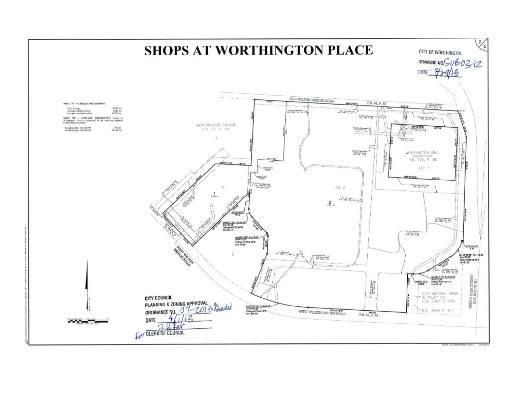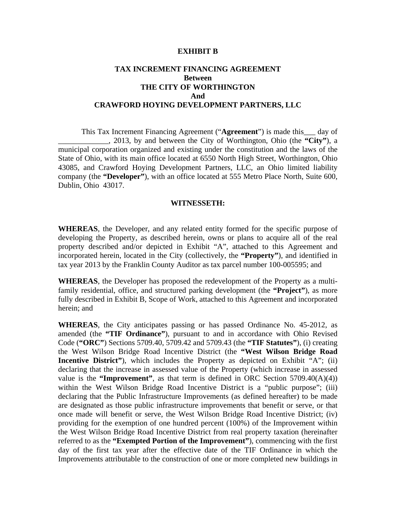#### **EXHIBIT B**

## **TAX INCREMENT FINANCING AGREEMENT Between THE CITY OF WORTHINGTON And CRAWFORD HOYING DEVELOPMENT PARTNERS, LLC**

 This Tax Increment Financing Agreement ("**Agreement**") is made this\_\_\_ day of \_\_\_\_\_\_\_\_\_\_\_\_\_, 2013, by and between the City of Worthington, Ohio (the **"City"**), a municipal corporation organized and existing under the constitution and the laws of the State of Ohio, with its main office located at 6550 North High Street, Worthington, Ohio 43085, and Crawford Hoying Development Partners, LLC, an Ohio limited liability company (the **"Developer"**), with an office located at 555 Metro Place North, Suite 600, Dublin, Ohio 43017.

#### **WITNESSETH:**

**WHEREAS**, the Developer, and any related entity formed for the specific purpose of developing the Property, as described herein, owns or plans to acquire all of the real property described and/or depicted in Exhibit "A", attached to this Agreement and incorporated herein, located in the City (collectively, the **"Property"**), and identified in tax year 2013 by the Franklin County Auditor as tax parcel number 100-005595; and

**WHEREAS**, the Developer has proposed the redevelopment of the Property as a multifamily residential, office, and structured parking development (the **"Project"**), as more fully described in Exhibit B, Scope of Work, attached to this Agreement and incorporated herein; and

**WHEREAS**, the City anticipates passing or has passed Ordinance No. 45-2012, as amended (the **"TIF Ordinance"**), pursuant to and in accordance with Ohio Revised Code (**"ORC"**) Sections 5709.40, 5709.42 and 5709.43 (the **"TIF Statutes"**), (i) creating the West Wilson Bridge Road Incentive District (the **"West Wilson Bridge Road Incentive District**"), which includes the Property as depicted on Exhibit "A"; (ii) declaring that the increase in assessed value of the Property (which increase in assessed value is the **"Improvement"**, as that term is defined in ORC Section  $5709.40(A)(4)$ ) within the West Wilson Bridge Road Incentive District is a "public purpose"; (iii) declaring that the Public Infrastructure Improvements (as defined hereafter) to be made are designated as those public infrastructure improvements that benefit or serve, or that once made will benefit or serve, the West Wilson Bridge Road Incentive District; (iv) providing for the exemption of one hundred percent (100%) of the Improvement within the West Wilson Bridge Road Incentive District from real property taxation (hereinafter referred to as the **"Exempted Portion of the Improvement"**), commencing with the first day of the first tax year after the effective date of the TIF Ordinance in which the Improvements attributable to the construction of one or more completed new buildings in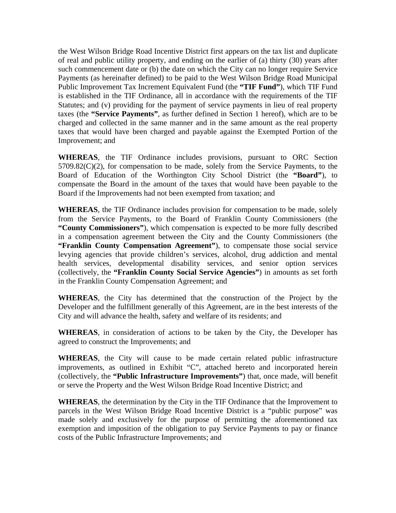the West Wilson Bridge Road Incentive District first appears on the tax list and duplicate of real and public utility property, and ending on the earlier of (a) thirty (30) years after such commencement date or (b) the date on which the City can no longer require Service Payments (as hereinafter defined) to be paid to the West Wilson Bridge Road Municipal Public Improvement Tax Increment Equivalent Fund (the **"TIF Fund"**), which TIF Fund is established in the TIF Ordinance, all in accordance with the requirements of the TIF Statutes; and (v) providing for the payment of service payments in lieu of real property taxes (the **"Service Payments"**, as further defined in Section 1 hereof), which are to be charged and collected in the same manner and in the same amount as the real property taxes that would have been charged and payable against the Exempted Portion of the Improvement; and

**WHEREAS**, the TIF Ordinance includes provisions, pursuant to ORC Section  $5709.82(C)(2)$ , for compensation to be made, solely from the Service Payments, to the Board of Education of the Worthington City School District (the **"Board"**), to compensate the Board in the amount of the taxes that would have been payable to the Board if the Improvements had not been exempted from taxation; and

**WHEREAS**, the TIF Ordinance includes provision for compensation to be made, solely from the Service Payments, to the Board of Franklin County Commissioners (the **"County Commissioners"**), which compensation is expected to be more fully described in a compensation agreement between the City and the County Commissioners (the **"Franklin County Compensation Agreement"**), to compensate those social service levying agencies that provide children's services, alcohol, drug addiction and mental health services, developmental disability services, and senior option services (collectively, the **"Franklin County Social Service Agencies"**) in amounts as set forth in the Franklin County Compensation Agreement; and

**WHEREAS**, the City has determined that the construction of the Project by the Developer and the fulfillment generally of this Agreement, are in the best interests of the City and will advance the health, safety and welfare of its residents; and

**WHEREAS**, in consideration of actions to be taken by the City, the Developer has agreed to construct the Improvements; and

**WHEREAS**, the City will cause to be made certain related public infrastructure improvements, as outlined in Exhibit "C", attached hereto and incorporated herein (collectively, the **"Public Infrastructure Improvements"**) that, once made, will benefit or serve the Property and the West Wilson Bridge Road Incentive District; and

**WHEREAS**, the determination by the City in the TIF Ordinance that the Improvement to parcels in the West Wilson Bridge Road Incentive District is a "public purpose" was made solely and exclusively for the purpose of permitting the aforementioned tax exemption and imposition of the obligation to pay Service Payments to pay or finance costs of the Public Infrastructure Improvements; and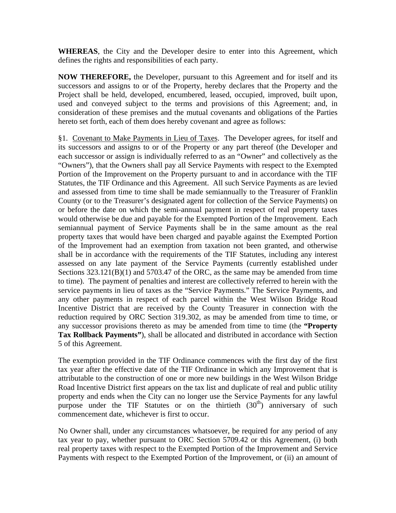**WHEREAS**, the City and the Developer desire to enter into this Agreement, which defines the rights and responsibilities of each party.

**NOW THEREFORE,** the Developer, pursuant to this Agreement and for itself and its successors and assigns to or of the Property, hereby declares that the Property and the Project shall be held, developed, encumbered, leased, occupied, improved, built upon, used and conveyed subject to the terms and provisions of this Agreement; and, in consideration of these premises and the mutual covenants and obligations of the Parties hereto set forth, each of them does hereby covenant and agree as follows:

§1. Covenant to Make Payments in Lieu of Taxes. The Developer agrees, for itself and its successors and assigns to or of the Property or any part thereof (the Developer and each successor or assign is individually referred to as an "Owner" and collectively as the "Owners"), that the Owners shall pay all Service Payments with respect to the Exempted Portion of the Improvement on the Property pursuant to and in accordance with the TIF Statutes, the TIF Ordinance and this Agreement. All such Service Payments as are levied and assessed from time to time shall be made semiannually to the Treasurer of Franklin County (or to the Treasurer's designated agent for collection of the Service Payments) on or before the date on which the semi-annual payment in respect of real property taxes would otherwise be due and payable for the Exempted Portion of the Improvement. Each semiannual payment of Service Payments shall be in the same amount as the real property taxes that would have been charged and payable against the Exempted Portion of the Improvement had an exemption from taxation not been granted, and otherwise shall be in accordance with the requirements of the TIF Statutes, including any interest assessed on any late payment of the Service Payments (currently established under Sections  $323.121(B)(1)$  and  $5703.47$  of the ORC, as the same may be amended from time to time). The payment of penalties and interest are collectively referred to herein with the service payments in lieu of taxes as the "Service Payments." The Service Payments, and any other payments in respect of each parcel within the West Wilson Bridge Road Incentive District that are received by the County Treasurer in connection with the reduction required by ORC Section 319.302, as may be amended from time to time, or any successor provisions thereto as may be amended from time to time (the **"Property Tax Rollback Payments"**), shall be allocated and distributed in accordance with Section 5 of this Agreement.

The exemption provided in the TIF Ordinance commences with the first day of the first tax year after the effective date of the TIF Ordinance in which any Improvement that is attributable to the construction of one or more new buildings in the West Wilson Bridge Road Incentive District first appears on the tax list and duplicate of real and public utility property and ends when the City can no longer use the Service Payments for any lawful purpose under the TIF Statutes or on the thirtieth  $(30<sup>th</sup>)$  anniversary of such commencement date, whichever is first to occur.

No Owner shall, under any circumstances whatsoever, be required for any period of any tax year to pay, whether pursuant to ORC Section 5709.42 or this Agreement, (i) both real property taxes with respect to the Exempted Portion of the Improvement and Service Payments with respect to the Exempted Portion of the Improvement, or (ii) an amount of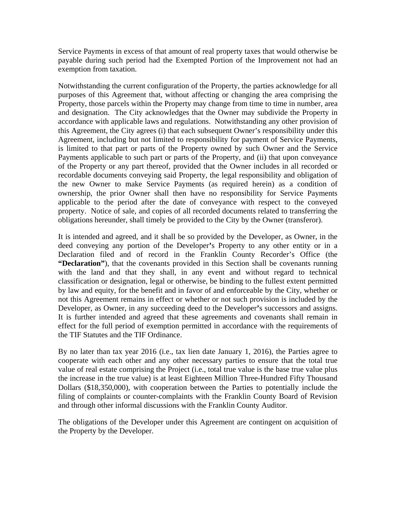Service Payments in excess of that amount of real property taxes that would otherwise be payable during such period had the Exempted Portion of the Improvement not had an exemption from taxation.

Notwithstanding the current configuration of the Property, the parties acknowledge for all purposes of this Agreement that, without affecting or changing the area comprising the Property, those parcels within the Property may change from time to time in number, area and designation. The City acknowledges that the Owner may subdivide the Property in accordance with applicable laws and regulations. Notwithstanding any other provision of this Agreement, the City agrees (i) that each subsequent Owner's responsibility under this Agreement, including but not limited to responsibility for payment of Service Payments, is limited to that part or parts of the Property owned by such Owner and the Service Payments applicable to such part or parts of the Property, and (ii) that upon conveyance of the Property or any part thereof, provided that the Owner includes in all recorded or recordable documents conveying said Property, the legal responsibility and obligation of the new Owner to make Service Payments (as required herein) as a condition of ownership, the prior Owner shall then have no responsibility for Service Payments applicable to the period after the date of conveyance with respect to the conveyed property. Notice of sale, and copies of all recorded documents related to transferring the obligations hereunder, shall timely be provided to the City by the Owner (transferor).

It is intended and agreed, and it shall be so provided by the Developer, as Owner, in the deed conveying any portion of the Developer**'**s Property to any other entity or in a Declaration filed and of record in the Franklin County Recorder's Office (the **"Declaration"**), that the covenants provided in this Section shall be covenants running with the land and that they shall, in any event and without regard to technical classification or designation, legal or otherwise, be binding to the fullest extent permitted by law and equity, for the benefit and in favor of and enforceable by the City, whether or not this Agreement remains in effect or whether or not such provision is included by the Developer, as Owner, in any succeeding deed to the Developer**'**s successors and assigns. It is further intended and agreed that these agreements and covenants shall remain in effect for the full period of exemption permitted in accordance with the requirements of the TIF Statutes and the TIF Ordinance.

By no later than tax year 2016 (i.e., tax lien date January 1, 2016), the Parties agree to cooperate with each other and any other necessary parties to ensure that the total true value of real estate comprising the Project (i.e., total true value is the base true value plus the increase in the true value) is at least Eighteen Million Three-Hundred Fifty Thousand Dollars (\$18,350,000), with cooperation between the Parties to potentially include the filing of complaints or counter-complaints with the Franklin County Board of Revision and through other informal discussions with the Franklin County Auditor.

The obligations of the Developer under this Agreement are contingent on acquisition of the Property by the Developer.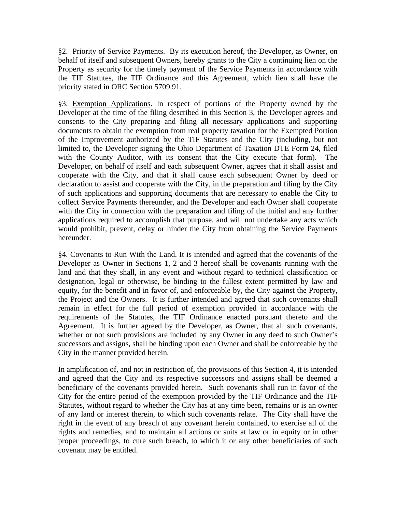§2. Priority of Service Payments. By its execution hereof, the Developer, as Owner, on behalf of itself and subsequent Owners, hereby grants to the City a continuing lien on the Property as security for the timely payment of the Service Payments in accordance with the TIF Statutes, the TIF Ordinance and this Agreement, which lien shall have the priority stated in ORC Section 5709.91.

§3. Exemption Applications. In respect of portions of the Property owned by the Developer at the time of the filing described in this Section 3, the Developer agrees and consents to the City preparing and filing all necessary applications and supporting documents to obtain the exemption from real property taxation for the Exempted Portion of the Improvement authorized by the TIF Statutes and the City (including, but not limited to, the Developer signing the Ohio Department of Taxation DTE Form 24, filed with the County Auditor, with its consent that the City execute that form). The Developer, on behalf of itself and each subsequent Owner, agrees that it shall assist and cooperate with the City, and that it shall cause each subsequent Owner by deed or declaration to assist and cooperate with the City, in the preparation and filing by the City of such applications and supporting documents that are necessary to enable the City to collect Service Payments thereunder, and the Developer and each Owner shall cooperate with the City in connection with the preparation and filing of the initial and any further applications required to accomplish that purpose, and will not undertake any acts which would prohibit, prevent, delay or hinder the City from obtaining the Service Payments hereunder.

§4. Covenants to Run With the Land. It is intended and agreed that the covenants of the Developer as Owner in Sections 1, 2 and 3 hereof shall be covenants running with the land and that they shall, in any event and without regard to technical classification or designation, legal or otherwise, be binding to the fullest extent permitted by law and equity, for the benefit and in favor of, and enforceable by, the City against the Property, the Project and the Owners. It is further intended and agreed that such covenants shall remain in effect for the full period of exemption provided in accordance with the requirements of the Statutes, the TIF Ordinance enacted pursuant thereto and the Agreement. It is further agreed by the Developer, as Owner, that all such covenants, whether or not such provisions are included by any Owner in any deed to such Owner's successors and assigns, shall be binding upon each Owner and shall be enforceable by the City in the manner provided herein.

In amplification of, and not in restriction of, the provisions of this Section 4, it is intended and agreed that the City and its respective successors and assigns shall be deemed a beneficiary of the covenants provided herein. Such covenants shall run in favor of the City for the entire period of the exemption provided by the TIF Ordinance and the TIF Statutes, without regard to whether the City has at any time been, remains or is an owner of any land or interest therein, to which such covenants relate. The City shall have the right in the event of any breach of any covenant herein contained, to exercise all of the rights and remedies, and to maintain all actions or suits at law or in equity or in other proper proceedings, to cure such breach, to which it or any other beneficiaries of such covenant may be entitled.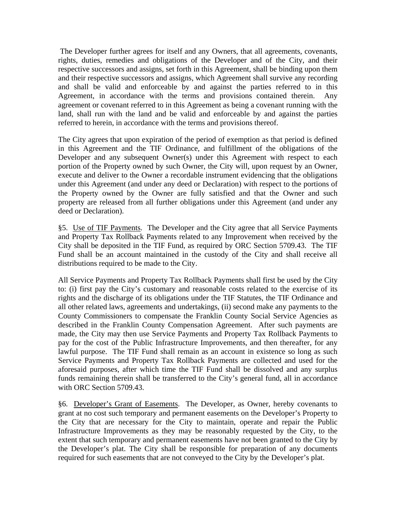The Developer further agrees for itself and any Owners, that all agreements, covenants, rights, duties, remedies and obligations of the Developer and of the City, and their respective successors and assigns, set forth in this Agreement, shall be binding upon them and their respective successors and assigns, which Agreement shall survive any recording and shall be valid and enforceable by and against the parties referred to in this Agreement, in accordance with the terms and provisions contained therein. Any agreement or covenant referred to in this Agreement as being a covenant running with the land, shall run with the land and be valid and enforceable by and against the parties referred to herein, in accordance with the terms and provisions thereof.

The City agrees that upon expiration of the period of exemption as that period is defined in this Agreement and the TIF Ordinance, and fulfillment of the obligations of the Developer and any subsequent Owner(s) under this Agreement with respect to each portion of the Property owned by such Owner, the City will, upon request by an Owner, execute and deliver to the Owner a recordable instrument evidencing that the obligations under this Agreement (and under any deed or Declaration) with respect to the portions of the Property owned by the Owner are fully satisfied and that the Owner and such property are released from all further obligations under this Agreement (and under any deed or Declaration).

§5. Use of TIF Payments. The Developer and the City agree that all Service Payments and Property Tax Rollback Payments related to any Improvement when received by the City shall be deposited in the TIF Fund, as required by ORC Section 5709.43. The TIF Fund shall be an account maintained in the custody of the City and shall receive all distributions required to be made to the City.

All Service Payments and Property Tax Rollback Payments shall first be used by the City to: (i) first pay the City's customary and reasonable costs related to the exercise of its rights and the discharge of its obligations under the TIF Statutes, the TIF Ordinance and all other related laws, agreements and undertakings, (ii) second make any payments to the County Commissioners to compensate the Franklin County Social Service Agencies as described in the Franklin County Compensation Agreement. After such payments are made, the City may then use Service Payments and Property Tax Rollback Payments to pay for the cost of the Public Infrastructure Improvements, and then thereafter, for any lawful purpose. The TIF Fund shall remain as an account in existence so long as such Service Payments and Property Tax Rollback Payments are collected and used for the aforesaid purposes, after which time the TIF Fund shall be dissolved and any surplus funds remaining therein shall be transferred to the City's general fund, all in accordance with ORC Section 5709.43.

§6. Developer's Grant of Easements. The Developer, as Owner, hereby covenants to grant at no cost such temporary and permanent easements on the Developer's Property to the City that are necessary for the City to maintain, operate and repair the Public Infrastructure Improvements as they may be reasonably requested by the City, to the extent that such temporary and permanent easements have not been granted to the City by the Developer's plat. The City shall be responsible for preparation of any documents required for such easements that are not conveyed to the City by the Developer's plat.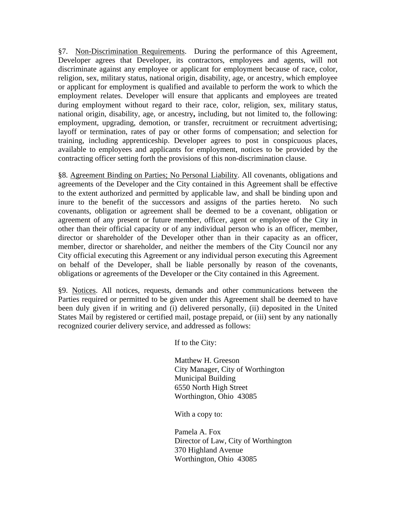§7. Non-Discrimination Requirements. During the performance of this Agreement, Developer agrees that Developer, its contractors, employees and agents, will not discriminate against any employee or applicant for employment because of race, color, religion, sex, military status, national origin, disability, age, or ancestry, which employee or applicant for employment is qualified and available to perform the work to which the employment relates. Developer will ensure that applicants and employees are treated during employment without regard to their race, color, religion, sex, military status, national origin, disability, age, or ancestry**,** including, but not limited to, the following: employment, upgrading, demotion, or transfer, recruitment or recruitment advertising; layoff or termination, rates of pay or other forms of compensation; and selection for training, including apprenticeship. Developer agrees to post in conspicuous places, available to employees and applicants for employment, notices to be provided by the contracting officer setting forth the provisions of this non-discrimination clause.

§8. Agreement Binding on Parties; No Personal Liability. All covenants, obligations and agreements of the Developer and the City contained in this Agreement shall be effective to the extent authorized and permitted by applicable law, and shall be binding upon and inure to the benefit of the successors and assigns of the parties hereto. No such covenants, obligation or agreement shall be deemed to be a covenant, obligation or agreement of any present or future member, officer, agent or employee of the City in other than their official capacity or of any individual person who is an officer, member, director or shareholder of the Developer other than in their capacity as an officer, member, director or shareholder, and neither the members of the City Council nor any City official executing this Agreement or any individual person executing this Agreement on behalf of the Developer, shall be liable personally by reason of the covenants, obligations or agreements of the Developer or the City contained in this Agreement.

§9. Notices. All notices, requests, demands and other communications between the Parties required or permitted to be given under this Agreement shall be deemed to have been duly given if in writing and (i) delivered personally, (ii) deposited in the United States Mail by registered or certified mail, postage prepaid, or (iii) sent by any nationally recognized courier delivery service, and addressed as follows:

If to the City:

Matthew H. Greeson City Manager, City of Worthington Municipal Building 6550 North High Street Worthington, Ohio 43085

With a copy to:

Pamela A. Fox Director of Law, City of Worthington 370 Highland Avenue Worthington, Ohio 43085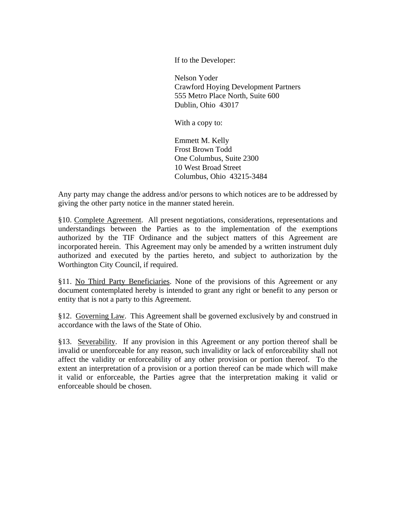If to the Developer:

Nelson Yoder Crawford Hoying Development Partners 555 Metro Place North, Suite 600 Dublin, Ohio 43017

With a copy to:

Emmett M. Kelly Frost Brown Todd One Columbus, Suite 2300 10 West Broad Street Columbus, Ohio 43215-3484

Any party may change the address and/or persons to which notices are to be addressed by giving the other party notice in the manner stated herein.

§10. Complete Agreement. All present negotiations, considerations, representations and understandings between the Parties as to the implementation of the exemptions authorized by the TIF Ordinance and the subject matters of this Agreement are incorporated herein. This Agreement may only be amended by a written instrument duly authorized and executed by the parties hereto, and subject to authorization by the Worthington City Council, if required.

§11. No Third Party Beneficiaries. None of the provisions of this Agreement or any document contemplated hereby is intended to grant any right or benefit to any person or entity that is not a party to this Agreement.

§12. Governing Law. This Agreement shall be governed exclusively by and construed in accordance with the laws of the State of Ohio.

§13. Severability. If any provision in this Agreement or any portion thereof shall be invalid or unenforceable for any reason, such invalidity or lack of enforceability shall not affect the validity or enforceability of any other provision or portion thereof. To the extent an interpretation of a provision or a portion thereof can be made which will make it valid or enforceable, the Parties agree that the interpretation making it valid or enforceable should be chosen.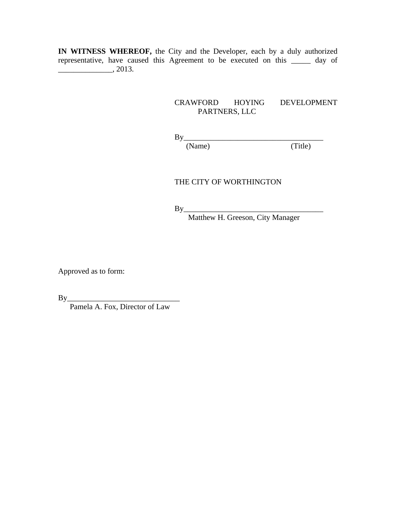**IN WITNESS WHEREOF,** the City and the Developer, each by a duly authorized representative, have caused this Agreement to be executed on this \_\_\_\_\_ day of  $\frac{1}{2013}$ .

#### CRAWFORD HOYING DEVELOPMENT PARTNERS, LLC

 $(Name)$ 

 $By \frac{N}{N} \frac{1}{N}$  (Title)

#### THE CITY OF WORTHINGTON

By\_\_\_\_\_\_\_\_\_\_\_\_\_\_\_\_\_\_\_\_\_\_\_\_\_\_\_\_\_\_\_\_\_\_\_\_

Matthew H. Greeson, City Manager

Approved as to form:

 $By$ 

Pamela A. Fox, Director of Law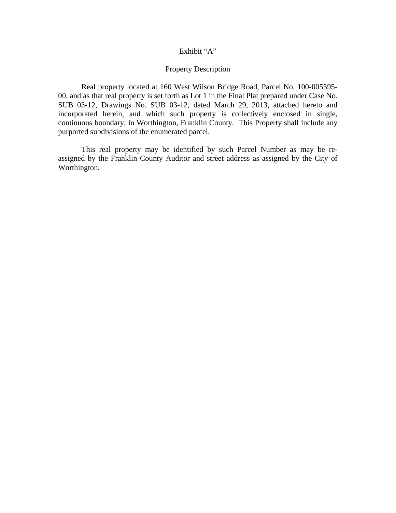#### Exhibit "A"

#### Property Description

 Real property located at 160 West Wilson Bridge Road, Parcel No. 100-005595- 00, and as that real property is set forth as Lot 1 in the Final Plat prepared under Case No. SUB 03-12, Drawings No. SUB 03-12, dated March 29, 2013, attached hereto and incorporated herein, and which such property is collectively enclosed in single, continuous boundary, in Worthington, Franklin County. This Property shall include any purported subdivisions of the enumerated parcel.

This real property may be identified by such Parcel Number as may be reassigned by the Franklin County Auditor and street address as assigned by the City of Worthington.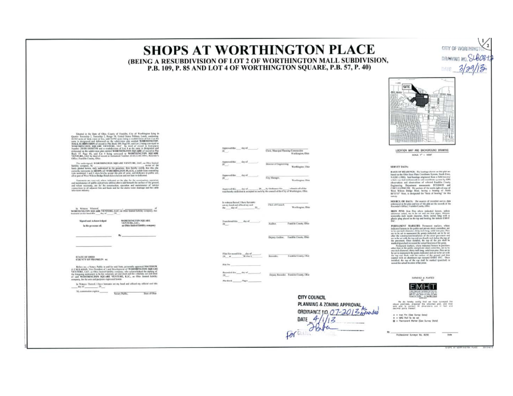# **SHOPS AT WORTHINGTON PLACE**

(BEING A RESUBDIVISION OF LOT 2 OF WORTHINGTON MALL SUBDIVISION. P.B. 109. P. 85 AND LOT 4 OF WORTHINGTON SQUARE, P.B. 57, P. 40)

> SITE 电监理

CITY OF WORTH? DRAWING NO.

DATE  $3/29$ 

LOCATION MAP AND BACKGROUND DRAWING SCALE: 1" = 1000"

#### SERVEY DATA:

NANTS OF BEARINGS. The bootings above on this plot we hadd on the China State Figs. Using the constant  $\mu_0$  are the State (1983) and bootings of planes in the State state of the state of the state of the state of the st

SOURCE OF BATA: The searces of recorded survey data<br>estimated in breplan and test of this plat are the numerical of the<br>Raumder's Office, franklin County, Obie,

IRON PINS from Pins where industed heroes, unless states otherwise redsel, are to be set and are too paper. We<br>recently free independent states of the state of the state of the state of<br>paper plane of the state of the stat

DE CHARLES MARKETINE (Framework interlays, where we have a spectral of the system of the system of the system of the system of the system of the system of the system of the system of the system of the system of the system



We do hereby retify that as how surveyed the premium, prepared the estatement plut, and that and the predict difference are in flast and

Professional Sundger No. 6250

SUNDED & PLATED



Senator in the State of Claus, Courty of Tauxida, Cay, of Week<br>mass haige is the State of Claus Claus (Senator In the State of the State of<br>the State of the State of the State of the State of the State of the State<br>of the

The undersigned, WORTHINGTON SQUARE VENTURE, LLC, as Ohio Strick in this contribution of the position of the position of the position of the position of the position of the position of the position of the position of the

 $\label{thm:main} There exists an operator of, where in the case of the plot, for the overtransition equation and minimum and minimum of pathly and given by the two-  
tion of the group, and the two-  
formal value of the group, the  $in$  or   
the group of the group, the problem is an arbitrary constant. If the case is an isomorphism and the case of the cycle of the$ comercione to ati<br>Islavision voluntu

In Winness Whereof, WANTURE, LLC, as One linear lighting company, has noted that the SQUARE VENTURE, LLC, as One linear lighting company, has

 $W$ 

Sizont and Acknowledged in the presence of:

WORTHINGTON SQUARE<br>VENTURE, LLC.<br>an Ohio limited liability energiesy

STATE OF OHIO<br>COUNTY OF FRANKLIN mi

 $\label{thm:main} \begin{array}{c} \mbox{fiffter\ } m, \hbox{ $a$-Nowp\ } \mbox{Paffin is and for mid fluid; givenably smooth AATTEAC A CAL, AIAA, VocF of (real) and L and Uocdfingous of WOCFTBAC VCSCAS (QCA) and Vcoffed by a  
group, sAtra, a. O4a, and Gocdfingous, a  
has a density and a factor of the two groups of the two groups of the two groups of OAC. VCSCTUF, I, I, C, , \hbox{ $a$- Ode b in timeal fielding of the two groups.} \end{array}$ myany, for the uses and purp

In Witness Thereof, I have been too set my band and affined my official and this day of  $-39.1$ 

vol.thir dep of Director of Engineering Worthington, Ohio City Monager, Worthington Ohio In witness thereof, I have herearmany band and affined my and<br>c day of Clet of Council Warthington, Ohio  $20 \begin{array}{l} \mbox{In addition of}\quad \quad \ \ \, \mbox{and}\quad \quad \ \ \, \mbox{and}\quad \quad \ \ \, \mbox{and}\quad \quad \ \ \, \mbox{and}\quad \quad \ \, \mbox{and}\quad \quad \ \, \mbox{and}\quad \quad \ \, \mbox{and}\quad \quad \ \, \mbox{and}\quad \quad \ \, \mbox{and}\quad \quad \ \, \mbox{and}\quad \quad \ \, \mbox{and}\quad \quad \ \, \mbox{and}\quad \quad \ \, \mbox{and}\quad \quad \ \, \mbox{and}\quad \quad \ \, \mbox{and}\quad \$ Franklin County, Ohio

Auditor.

Deputy Andrer. Franklin County, Ohio

Clerk, Musicipal Plassing Communities

Worthington, Ohio

 $\begin{minipage}{0.9\linewidth} \begin{minipage}{0.9\linewidth} \textbf{Answer:} & \textbf{44:} & \textbf{46:} & \textbf{47:} \\ \textbf{29:} & \textbf{29:} & \textbf{49:} & \textbf{40:} \\ \textbf{20:} & \textbf{40:} & \textbf{41:} & \textbf{42:} \\ \textbf{41:} & \textbf{42:} & \textbf{43:} & \textbf{45:} \\ \textbf{45:} & \textbf{46:} & \textbf{47:} & \textbf{48:} \\ \textbf{47:} & \textbf{48$ 

File No.

Deputy Recorder Franklin County, Ohio MacHook Pages

Remodes

**CITY COUNCIL** 

**Excelled Covers, Clair** 

PLANNING & ZONING APPROVAL ORDINANCE JIO, 07-2013 avended For au Fata DATE  $4/1/$ 12

**Tin fax**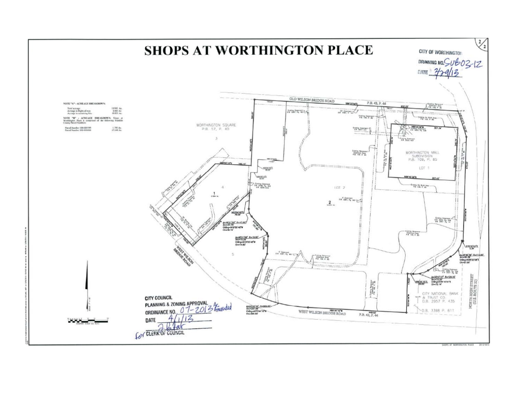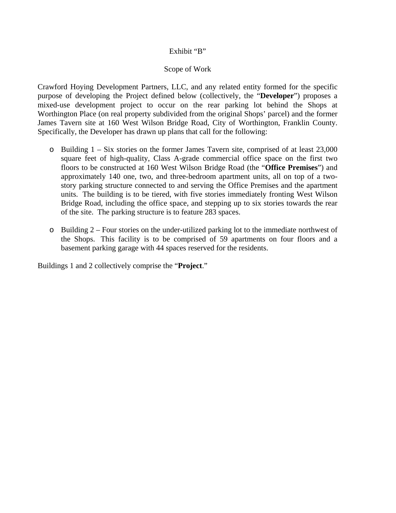### Exhibit "B"

## Scope of Work

Crawford Hoying Development Partners, LLC, and any related entity formed for the specific purpose of developing the Project defined below (collectively, the "**Developer**") proposes a mixed-use development project to occur on the rear parking lot behind the Shops at Worthington Place (on real property subdivided from the original Shops' parcel) and the former James Tavern site at 160 West Wilson Bridge Road, City of Worthington, Franklin County. Specifically, the Developer has drawn up plans that call for the following:

- o Building 1 Six stories on the former James Tavern site, comprised of at least 23,000 square feet of high-quality, Class A-grade commercial office space on the first two floors to be constructed at 160 West Wilson Bridge Road (the "**Office Premises**") and approximately 140 one, two, and three-bedroom apartment units, all on top of a twostory parking structure connected to and serving the Office Premises and the apartment units. The building is to be tiered, with five stories immediately fronting West Wilson Bridge Road, including the office space, and stepping up to six stories towards the rear of the site. The parking structure is to feature 283 spaces.
- o Building 2 Four stories on the under-utilized parking lot to the immediate northwest of the Shops. This facility is to be comprised of 59 apartments on four floors and a basement parking garage with 44 spaces reserved for the residents.

Buildings 1 and 2 collectively comprise the "**Project**."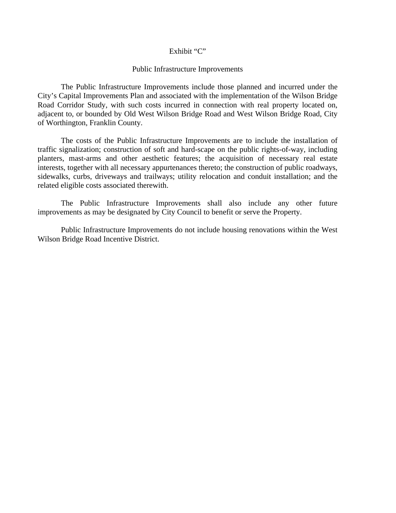#### Exhibit "C"

#### Public Infrastructure Improvements

 The Public Infrastructure Improvements include those planned and incurred under the City's Capital Improvements Plan and associated with the implementation of the Wilson Bridge Road Corridor Study, with such costs incurred in connection with real property located on, adjacent to, or bounded by Old West Wilson Bridge Road and West Wilson Bridge Road, City of Worthington, Franklin County.

 The costs of the Public Infrastructure Improvements are to include the installation of traffic signalization; construction of soft and hard-scape on the public rights-of-way, including planters, mast-arms and other aesthetic features; the acquisition of necessary real estate interests, together with all necessary appurtenances thereto; the construction of public roadways, sidewalks, curbs, driveways and trailways; utility relocation and conduit installation; and the related eligible costs associated therewith.

 The Public Infrastructure Improvements shall also include any other future improvements as may be designated by City Council to benefit or serve the Property.

 Public Infrastructure Improvements do not include housing renovations within the West Wilson Bridge Road Incentive District.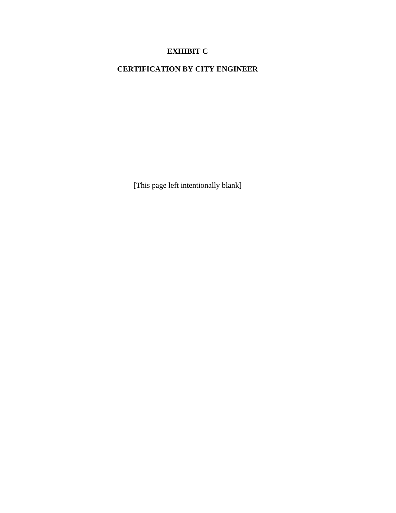## **EXHIBIT C**

# **CERTIFICATION BY CITY ENGINEER**

[This page left intentionally blank]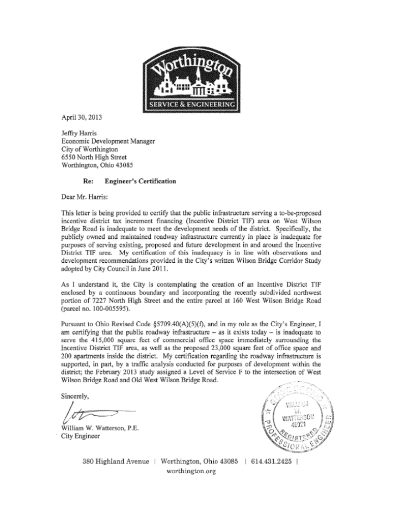

April 30, 2013

Jeffry Harris Economic Development Manager City of Worthington 6550 North High Street Worthington, Ohio 43085

#### Re: **Engineer's Certification**

Dear Mr. Harris:

This letter is being provided to certify that the public infrastructure serving a to-be-proposed incentive district tax increment financing (Incentive District TIF) area on West Wilson Bridge Road is inadequate to meet the development needs of the district. Specifically, the publicly owned and maintained roadway infrastructure currently in place is inadequate for purposes of serving existing, proposed and future development in and around the Incentive District TIF area. My certification of this inadequacy is in line with observations and development recommendations provided in the City's written Wilson Bridge Corridor Study adopted by City Council in June 2011.

As I understand it, the City is contemplating the creation of an Incentive District TIF enclosed by a continuous boundary and incorporating the recently subdivided northwest portion of 7227 North High Street and the entire parcel at 160 West Wilson Bridge Road (parcel no. 100-005595).

Pursuant to Ohio Revised Code §5709.40(A)(5)(f), and in my role as the City's Engineer, I am certifying that the public roadway infrastructure  $-$  as it exists today  $-$  is inadequate to serve the 415,000 square feet of commercial office space immediately surrounding the Incentive District TIF area, as well as the proposed 23,000 square feet of office space and 200 apartments inside the district. My certification regarding the roadway infrastructure is supported, in part, by a traffic analysis conducted for purposes of development within the district; the February 2013 study assigned a Level of Service F to the intersection of West Wilson Bridge Road and Old West Wilson Bridge Road.

Sincerely,

William W. Watterson, P.E. City Engineer



380 Highland Avenue | Worthington, Ohio 43085 | 614.431.2425 | worthington.org